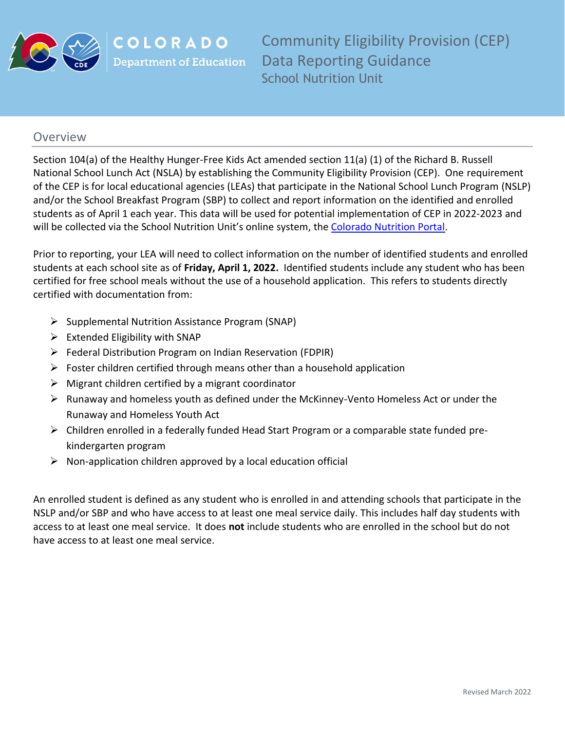

COLORADO **Department of Education**  Community Eligibility Provision (CEP) Data Reporting Guidance School Nutrition Unit

## **Overview**

Section 104(a) of the Healthy Hunger-Free Kids Act amended section 11(a) (1) of the Richard B. Russell National School Lunch Act (NSLA) by establishing the Community Eligibility Provision (CEP). One requirement of the CEP is for local educational agencies (LEAs) that participate in the National School Lunch Program (NSLP) and/or the School Breakfast Program (SBP) to collect and report information on the identified and enrolled students as of April 1 each year. This data will be used for potential implementation of CEP in 2022-2023 and will be collected via the School Nutrition Unit's online system, th[e Colorado Nutrition Portal.](https://co.cnpus.com/Colorado/Splash.aspx)

Prior to reporting, your LEA will need to collect information on the number of identified students and enrolled students at each school site as of **Friday, April 1, 2022.** Identified students include any student who has been certified for free school meals without the use of a household application. This refers to students directly certified with documentation from:

- ➢ Supplemental Nutrition Assistance Program (SNAP)
- $\triangleright$  Extended Eligibility with SNAP
- ➢ Federal Distribution Program on Indian Reservation (FDPIR)
- $\triangleright$  Foster children certified through means other than a household application
- $\triangleright$  Migrant children certified by a migrant coordinator
- ➢ Runaway and homeless youth as defined under the McKinney-Vento Homeless Act or under the Runaway and Homeless Youth Act
- ➢ Children enrolled in a federally funded Head Start Program or a comparable state funded prekindergarten program
- $\triangleright$  Non-application children approved by a local education official

An enrolled student is defined as any student who is enrolled in and attending schools that participate in the NSLP and/or SBP and who have access to at least one meal service daily. This includes half day students with access to at least one meal service. It does **not** include students who are enrolled in the school but do not have access to at least one meal service.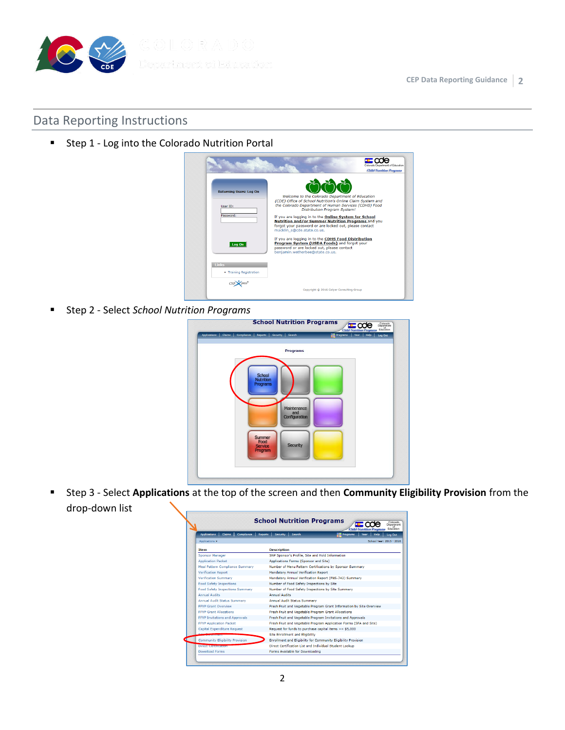

## Data Reporting Instructions

■ Step 1 - Log into the Colorado Nutrition Portal

|                                            | <b>Child Nutrition Programs</b>                                                                                                                                                                               |
|--------------------------------------------|---------------------------------------------------------------------------------------------------------------------------------------------------------------------------------------------------------------|
| <b>Returning Users: Log On</b><br>User ID: | Welcome to the Colorado Department of Education<br>(CDE) Office of School Nutrition's Online Claim System and<br>the Colorado Department of Human Services (CDHS) Food<br><b>Distribution Program System!</b> |
| Password:                                  | If you are logging in to the Online System for School<br>Nutrition and/or Summer Nutrition Programs and you<br>forgot your password or are locked out, please contact<br>macklin s@cde.state.co.us.           |
| Log On                                     | If you are logging in to the CDHS Food Distribution<br>Program System (USDA Foods) and forgot your<br>password or are locked out, please contact<br>benjamin.wetherbee@state.co.us.                           |
| Links                                      |                                                                                                                                                                                                               |
| • Training Registration                    |                                                                                                                                                                                                               |
|                                            |                                                                                                                                                                                                               |

▪ Step 2 - Select *School Nutrition Programs*

| Compliance<br><b>Applications</b><br>Claims  <br>Reports   Security   Search | <b>Fill Programs</b><br>Year   Help<br>Log Out |
|------------------------------------------------------------------------------|------------------------------------------------|
| <b>Programs</b>                                                              |                                                |
| School<br><b>Nutrition</b><br>Programs                                       |                                                |
| Maintenance<br>and<br>Configuration                                          |                                                |
| Summer<br>Food<br><b>Security</b><br>Service<br>Program                      |                                                |

▪ Step 3 - Select **Applications** at the top of the screen and then **Community Eligibility Provision** from the drop-down list

| Compliance  <br><b>Applications</b><br>Claims | <b>Child Nutrition Programs</b><br>Reports Security<br>Search<br><b>Programs</b><br>Year<br>Help<br>Log Out |
|-----------------------------------------------|-------------------------------------------------------------------------------------------------------------|
| Applications >                                | School Vear: 2015 - 2016                                                                                    |
| <b>Item</b>                                   | <b>Description</b>                                                                                          |
| <b>Sponsor Manager</b>                        | SNP Sponsor's Profile, Site and Hold Information                                                            |
| <b>Application Packet</b>                     | Applications Forms (Sponsor and Site)                                                                       |
| Meal Pattern Compliance Summary               | Number of Menu Pattern Certifications by Sponsor Summary                                                    |
| <b>Verification Report</b>                    | <b>Mandatory Annual Verification Report</b>                                                                 |
| Verification Summary                          | Mandatory Annual Verification Report (FNS-742) Summary                                                      |
| <b>Food Safety Inspections</b>                | Number of Food Safety Inspections by Site                                                                   |
| <b>Food Safety Inspections Summary</b>        | Number of Food Safety Inspections by Site Summary                                                           |
| <b>Annual Audits</b>                          | <b>Annual Audits</b>                                                                                        |
| Annual Audit Status Summary                   | Annual Audit Status Summary                                                                                 |
| <b>FFVP Grant Overview</b>                    | Fresh Fruit and Vegetable Program Grant Information by Site Overview                                        |
| <b>FFVP Grant Allocations</b>                 | Fresh Fruit and Vegetable Program Grant Allocations                                                         |
| <b>FFVP Invitations and Approvals</b>         | Fresh Fruit and Vegetable Program Invitations and Approvals                                                 |
| <b>FFVP Application Packet</b>                | Fresh Fruit and Vegetable Program Application Forms (SFA and Site)                                          |
| Capital Expenditure Request                   | Request for funds to purchase capital items $>=$ \$5,000                                                    |
| --------------                                | <b>Site Enrollment and Eligibility</b>                                                                      |
| <b>Community Eligibility Provision</b>        | Enrollment and Eligibility for Community Eligibility Provision                                              |
| <b>DIFFERENT MEDICINES INCHES</b>             | Direct Certification List and Individual Student Lookup                                                     |
| <b>Download Forms</b>                         | Forms Available for Downloading                                                                             |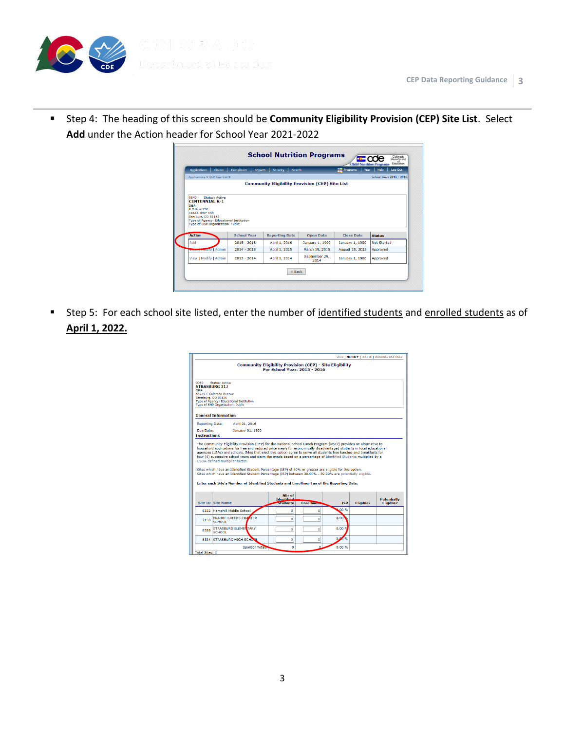

▪ Step 4: The heading of this screen should be **Community Eligibility Provision (CEP) Site List**. Select **Add** under the Action header for School Year 2021-2022

| <b>Applications</b><br>Claims                   | <b>Compliance</b>  | <b>Security</b><br>Search<br><b>Reports</b>            |                       | Year<br><b>Programs</b> | Log Out<br>Help          |
|-------------------------------------------------|--------------------|--------------------------------------------------------|-----------------------|-------------------------|--------------------------|
| Applications > CEP Year List >                  |                    |                                                        |                       |                         | School Vear: 2015 - 2016 |
|                                                 |                    | <b>Community Eligibility Provision (CEP) Site List</b> |                       |                         |                          |
|                                                 |                    |                                                        |                       |                         |                          |
| 0640<br>Status: Active<br><b>CENTENNIAL R-1</b> |                    |                                                        |                       |                         |                          |
| DBA:                                            |                    |                                                        |                       |                         |                          |
|                                                 |                    |                                                        |                       |                         |                          |
| <b>P.O Box 350</b>                              |                    |                                                        |                       |                         |                          |
| 14644 HWY 159<br>San Luis, CO 81152             |                    |                                                        |                       |                         |                          |
| Type of Agency: Educational Institution         |                    |                                                        |                       |                         |                          |
| Type of SNP Organization: Public                |                    |                                                        |                       |                         |                          |
| <b>Action</b>                                   | <b>School Year</b> | <b>Reporting Date</b>                                  | <b>Open Date</b>      | <b>Close Date</b>       | <b>Status</b>            |
| Add                                             | $2015 - 2016$      | April 1, 2016                                          | January 1, 1900       | January 1, 1900         | <b>Not Started</b>       |
| <b>View Houlty</b> Admin                        | $2014 - 2015$      | April 1, 2015                                          | March 19, 2015        | August 15, 2015         | Approved                 |
| View   Modify   Admin                           | $2013 - 2014$      | April 1, 2014                                          | September 29.<br>2014 | January 1, 1900         | Approved                 |

■ Step 5: For each school site listed, enter the number of identified students and enrolled students as of **April 1, 2022.**

| <b>Community Eligibility Provision (CEP) - Site Eligibility</b><br><b>For School Year: 2015 - 2016</b> |                                                                                                                                                                                                                                                                                                                                                                                                       |                                                |                   |            |                                                                                                                   |                                 |  |  |
|--------------------------------------------------------------------------------------------------------|-------------------------------------------------------------------------------------------------------------------------------------------------------------------------------------------------------------------------------------------------------------------------------------------------------------------------------------------------------------------------------------------------------|------------------------------------------------|-------------------|------------|-------------------------------------------------------------------------------------------------------------------|---------------------------------|--|--|
| 0060<br>DRA-                                                                                           | Status: Active<br><b>STRASBURG 311</b><br>56729 E Colorado Avenue<br>Strasburg, CO 80136<br>Type of Agency: Educational Institution<br>Type of SNP Organization: Public                                                                                                                                                                                                                               |                                                |                   |            |                                                                                                                   |                                 |  |  |
|                                                                                                        | <b>General Information</b>                                                                                                                                                                                                                                                                                                                                                                            |                                                |                   |            |                                                                                                                   |                                 |  |  |
| <b>Reporting Date:</b>                                                                                 | April 01, 2016                                                                                                                                                                                                                                                                                                                                                                                        |                                                |                   |            |                                                                                                                   |                                 |  |  |
| Due Date:                                                                                              | January 01, 1900                                                                                                                                                                                                                                                                                                                                                                                      |                                                |                   |            |                                                                                                                   |                                 |  |  |
| <b>Instructions</b>                                                                                    |                                                                                                                                                                                                                                                                                                                                                                                                       |                                                |                   |            |                                                                                                                   |                                 |  |  |
|                                                                                                        | household applications for free and reduced price meals for economically disadvantaged students in local educational<br>agencies (LEAs) and schools. Sites that elect this option agree to serve all students free lunches and breakfasts for<br>four (4) successive school vears and claim the meals based on a percentage of Identified Students multiplied by a<br>USDA-defined multiplier factor. |                                                |                   |            | The Community Eligibility Provision (CEP) for the National School Lunch Program (NSLP) provides an alternative to |                                 |  |  |
|                                                                                                        | Sites which have an Identified Student Percentage (ISP) of 40% or greater are eligible for this option.<br>Sites which have an Identified Student Percentage (ISP) between 30.00% - 39.99% are potentially eligible.<br>Enter each Site's Number of Identified Students and Enrollment as of the Reporting Date.                                                                                      |                                                |                   |            |                                                                                                                   |                                 |  |  |
|                                                                                                        | <b>Site ID Site Name</b>                                                                                                                                                                                                                                                                                                                                                                              | Nhr of<br><b>Identified</b><br><b>Students</b> | <b>Enrollment</b> | <b>TSP</b> | Eligible?                                                                                                         | <b>Potentially</b><br>Eligible? |  |  |
|                                                                                                        | 8332 Hemphill Middle School                                                                                                                                                                                                                                                                                                                                                                           | $\mathbf{0}$                                   | o                 | $00 \%$    |                                                                                                                   |                                 |  |  |
| 7133                                                                                                   | PRAIRIE CREEKS CHARTER<br>SCHOOL                                                                                                                                                                                                                                                                                                                                                                      | $\mathbf 0$                                    | $\mathbf{O}$      | 0.00       |                                                                                                                   |                                 |  |  |
| 8328                                                                                                   | <b>STRASBURG ELEMENTARY</b><br>SCHOOL                                                                                                                                                                                                                                                                                                                                                                 | $\mathbf{0}$                                   | o                 | 0.00%      |                                                                                                                   |                                 |  |  |
|                                                                                                        | 8334 STRASBURG HIGH SCHOOL                                                                                                                                                                                                                                                                                                                                                                            | O                                              | Ō                 | 0.8<br>T % |                                                                                                                   |                                 |  |  |